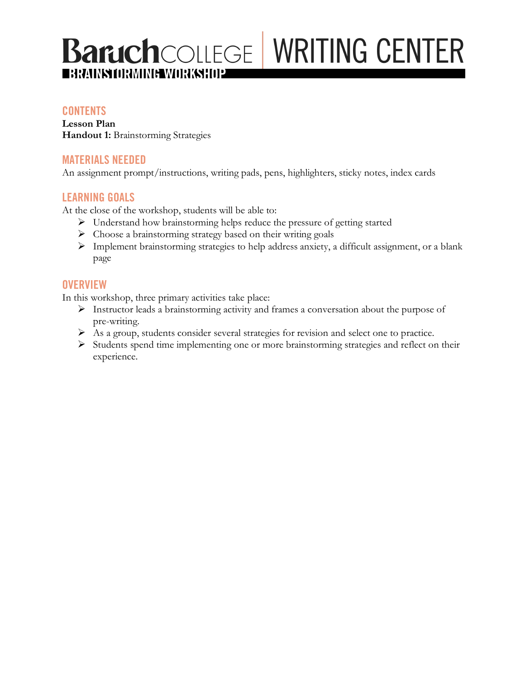# **Baruch**COLLEGE WRITING CENTER z **BRAINSTORMING WORKSHOP**

### **CONTENTS**

**Lesson Plan Handout 1:** Brainstorming Strategies

### **MATERIALS NEEDED**

An assignment prompt/instructions, writing pads, pens, highlighters, sticky notes, index cards

### **LEARNING GOALS**

At the close of the workshop, students will be able to:

- Ø Understand how brainstorming helps reduce the pressure of getting started
- $\triangleright$  Choose a brainstorming strategy based on their writing goals
- Ø Implement brainstorming strategies to help address anxiety, a difficult assignment, or a blank page

### **OVERVIEW**

In this workshop, three primary activities take place:

- Ø Instructor leads a brainstorming activity and frames a conversation about the purpose of pre-writing.
- Ø As a group, students consider several strategies for revision and select one to practice.
- Ø Students spend time implementing one or more brainstorming strategies and reflect on their experience.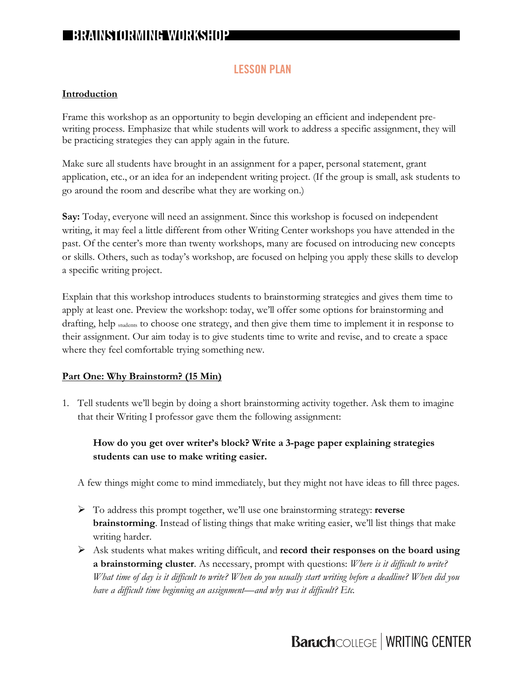### **LESSON PLAN**

#### **Introduction**

Frame this workshop as an opportunity to begin developing an efficient and independent prewriting process. Emphasize that while students will work to address a specific assignment, they will be practicing strategies they can apply again in the future.

Make sure all students have brought in an assignment for a paper, personal statement, grant application, etc., or an idea for an independent writing project. (If the group is small, ask students to go around the room and describe what they are working on.)

**Say:** Today, everyone will need an assignment. Since this workshop is focused on independent writing, it may feel a little different from other Writing Center workshops you have attended in the past. Of the center's more than twenty workshops, many are focused on introducing new concepts or skills. Others, such as today's workshop, are focused on helping you apply these skills to develop a specific writing project.

Explain that this workshop introduces students to brainstorming strategies and gives them time to apply at least one. Preview the workshop: today, we'll offer some options for brainstorming and drafting, help students to choose one strategy, and then give them time to implement it in response to their assignment. Our aim today is to give students time to write and revise, and to create a space where they feel comfortable trying something new.

### **Part One: Why Brainstorm? (15 Min)**

1. Tell students we'll begin by doing a short brainstorming activity together. Ask them to imagine that their Writing I professor gave them the following assignment:

### **How do you get over writer's block? Write a 3-page paper explaining strategies students can use to make writing easier.**

A few things might come to mind immediately, but they might not have ideas to fill three pages.

- Ø To address this prompt together, we'll use one brainstorming strategy: **reverse brainstorming**. Instead of listing things that make writing easier, we'll list things that make writing harder.
- Ø Ask students what makes writing difficult, and **record their responses on the board using a brainstorming cluster**. As necessary, prompt with questions: *Where is it difficult to write? What time of day is it difficult to write? When do you usually start writing before a deadline? When did you have a difficult time beginning an assignment—and why was it difficult? Etc.*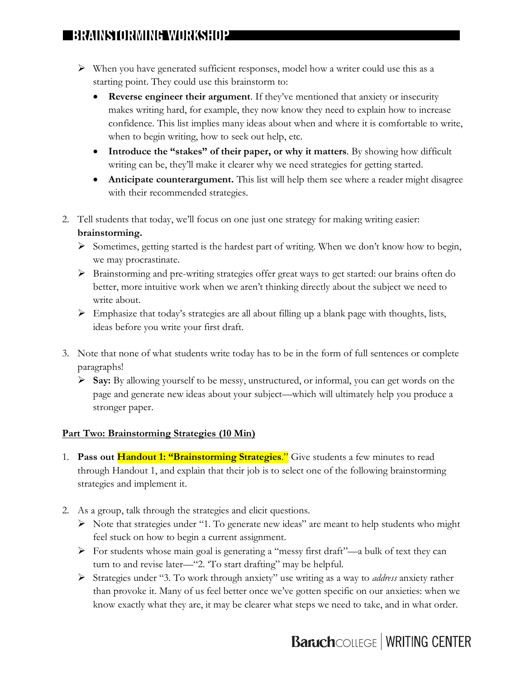## **BRAINSTORMING WORKSHOP**

- $\triangleright$  When you have generated sufficient responses, model how a writer could use this as a starting point. They could use this brainstorm to:
	- **Reverse engineer their argument**. If they've mentioned that anxiety or insecurity makes writing hard, for example, they now know they need to explain how to increase confidence. This list implies many ideas about when and where it is comfortable to write, when to begin writing, how to seek out help, etc.
	- **Introduce the "stakes" of their paper, or why it matters**. By showing how difficult writing can be, they'll make it clearer why we need strategies for getting started.
	- **Anticipate counterargument.** This list will help them see where a reader might disagree with their recommended strategies.
- 2. Tell students that today, we'll focus on one just one strategy for making writing easier: **brainstorming.**
	- $\triangleright$  Sometimes, getting started is the hardest part of writing. When we don't know how to begin, we may procrastinate.
	- Ø Brainstorming and pre-writing strategies offer great ways to get started: our brains often do better, more intuitive work when we aren't thinking directly about the subject we need to write about.
	- $\triangleright$  Emphasize that today's strategies are all about filling up a blank page with thoughts, lists, ideas before you write your first draft.
- 3. Note that none of what students write today has to be in the form of full sentences or complete paragraphs!
	- Ø **Say:** By allowing yourself to be messy, unstructured, or informal, you can get words on the page and generate new ideas about your subject—which will ultimately help you produce a stronger paper.

### **Part Two: Brainstorming Strategies (10 Min)**

- 1. **Pass out Handout 1: "Brainstorming Strategies**." Give students a few minutes to read through Handout 1, and explain that their job is to select one of the following brainstorming strategies and implement it.
- 2. As a group, talk through the strategies and elicit questions.
	- Ø Note that strategies under "1. To generate new ideas" are meant to help students who might feel stuck on how to begin a current assignment.
	- $\triangleright$  For students whose main goal is generating a "messy first draft"—a bulk of text they can turn to and revise later—"2. 'To start drafting" may be helpful.
	- Ø Strategies under "3. To work through anxiety" use writing as a way to *address* anxiety rather than provoke it. Many of us feel better once we've gotten specific on our anxieties: when we know exactly what they are, it may be clearer what steps we need to take, and in what order.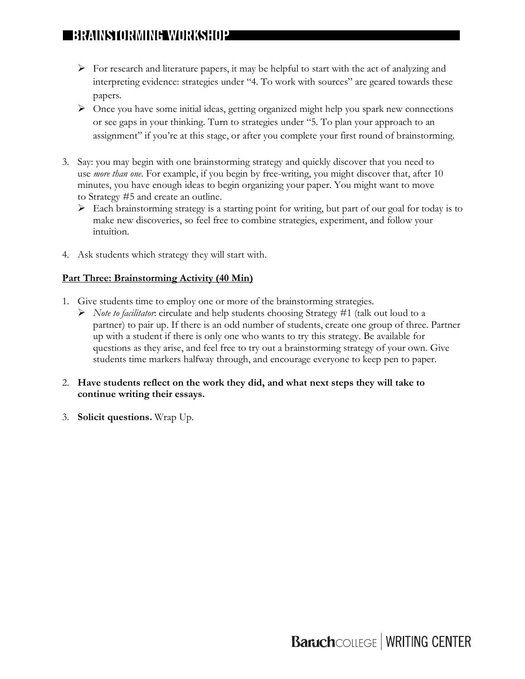## **BRAINSTORMING WORKSHOP**

- $\triangleright$  For research and literature papers, it may be helpful to start with the act of analyzing and interpreting evidence: strategies under "4. To work with sources" are geared towards these papers.
- $\triangleright$  Once you have some initial ideas, getting organized might help you spark new connections or see gaps in your thinking. Turn to strategies under "5. To plan your approach to an assignment" if you're at this stage, or after you complete your first round of brainstorming.
- 3. Say: you may begin with one brainstorming strategy and quickly discover that you need to use *more than one*. For example, if you begin by free-writing, you might discover that, after 10 minutes, you have enough ideas to begin organizing your paper. You might want to move to Strategy #5 and create an outline.
	- $\triangleright$  Each brainstorming strategy is a starting point for writing, but part of our goal for today is to make new discoveries, so feel free to combine strategies, experiment, and follow your intuition.
- 4. Ask students which strategy they will start with.

### **Part Three: Brainstorming Activity (40 Min)**

- 1. Give students time to employ one or more of the brainstorming strategies.
	- Ø *Note to facilitator*: circulate and help students choosing Strategy #1 (talk out loud to a partner) to pair up. If there is an odd number of students, create one group of three. Partner up with a student if there is only one who wants to try this strategy. Be available for questions as they arise, and feel free to try out a brainstorming strategy of your own. Give students time markers halfway through, and encourage everyone to keep pen to paper.
- 2. **Have students reflect on the work they did, and what next steps they will take to continue writing their essays.**
- 3. **Solicit questions.** Wrap Up.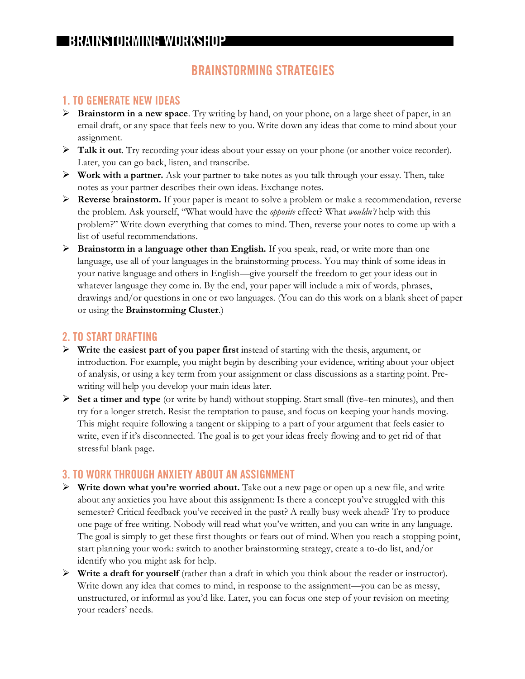# **BRAINSTORMING WORKSHOP**

### **BRAINSTORMING STRATEGIES**

### **1. TO GENERATE NEW IDEAS**

- Ø **Brainstorm in a new space**. Try writing by hand, on your phone, on a large sheet of paper, in an email draft, or any space that feels new to you. Write down any ideas that come to mind about your assignment.
- Ø **Talk it out**. Try recording your ideas about your essay on your phone (or another voice recorder). Later, you can go back, listen, and transcribe.
- Ø **Work with a partner.** Ask your partner to take notes as you talk through your essay. Then, take notes as your partner describes their own ideas. Exchange notes.
- Ø **Reverse brainstorm.** If your paper is meant to solve a problem or make a recommendation, reverse the problem. Ask yourself, "What would have the *opposite* effect? What *wouldn't* help with this problem?" Write down everything that comes to mind. Then, reverse your notes to come up with a list of useful recommendations.
- Ø **Brainstorm in a language other than English.** If you speak, read, or write more than one language, use all of your languages in the brainstorming process. You may think of some ideas in your native language and others in English—give yourself the freedom to get your ideas out in whatever language they come in. By the end, your paper will include a mix of words, phrases, drawings and/or questions in one or two languages. (You can do this work on a blank sheet of paper or using the **Brainstorming Cluster**.)

### **2. TO START DRAFTING**

- Ø **Write the easiest part of you paper first** instead of starting with the thesis, argument, or introduction. For example, you might begin by describing your evidence, writing about your object of analysis, or using a key term from your assignment or class discussions as a starting point. Prewriting will help you develop your main ideas later.
- Ø **Set a timer and type** (or write by hand) without stopping. Start small (five–ten minutes), and then try for a longer stretch. Resist the temptation to pause, and focus on keeping your hands moving. This might require following a tangent or skipping to a part of your argument that feels easier to write, even if it's disconnected. The goal is to get your ideas freely flowing and to get rid of that stressful blank page.

### **3. TO WORK THROUGH ANXIETY ABOUT AN ASSIGNMENT**

- Ø **Write down what you're worried about.** Take out a new page or open up a new file, and write about any anxieties you have about this assignment: Is there a concept you've struggled with this semester? Critical feedback you've received in the past? A really busy week ahead? Try to produce one page of free writing. Nobody will read what you've written, and you can write in any language. The goal is simply to get these first thoughts or fears out of mind. When you reach a stopping point, start planning your work: switch to another brainstorming strategy, create a to-do list, and/or identify who you might ask for help.
- $\triangleright$  **Write a draft for yourself** (rather than a draft in which you think about the reader or instructor). Write down any idea that comes to mind, in response to the assignment—you can be as messy, unstructured, or informal as you'd like. Later, you can focus one step of your revision on meeting your readers' needs.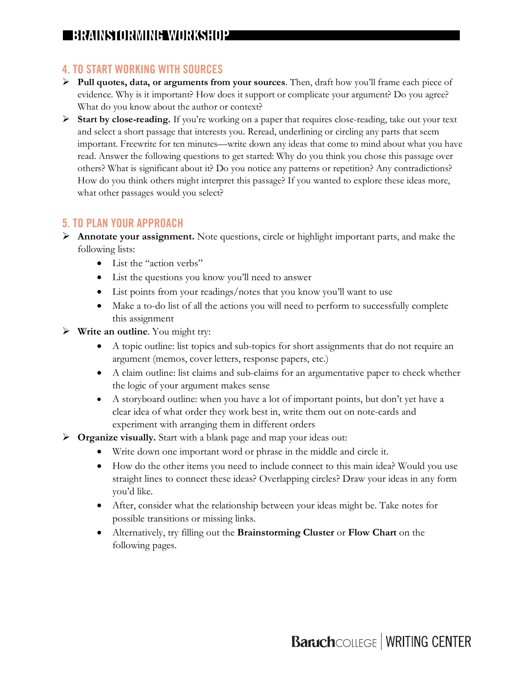### **4. TO START WORKING WITH SOURCES**

- Ø **Pull quotes, data, or arguments from your sources**. Then, draft how you'll frame each piece of evidence. Why is it important? How does it support or complicate your argument? Do you agree? What do you know about the author or context?
- Ø **Start by close-reading.** If you're working on a paper that requires close-reading, take out your text and select a short passage that interests you. Reread, underlining or circling any parts that seem important. Freewrite for ten minutes—write down any ideas that come to mind about what you have read. Answer the following questions to get started: Why do you think you chose this passage over others? What is significant about it? Do you notice any patterns or repetition? Any contradictions? How do you think others might interpret this passage? If you wanted to explore these ideas more, what other passages would you select?

### **5. TO PLAN YOUR APPROACH**

- Ø **Annotate your assignment.** Note questions, circle or highlight important parts, and make the following lists:
	- List the "action verbs"
	- List the questions you know you'll need to answer
	- List points from your readings/notes that you know you'll want to use
	- Make a to-do list of all the actions you will need to perform to successfully complete this assignment
- Ø **Write an outline**. You might try:
	- A topic outline: list topics and sub-topics for short assignments that do not require an argument (memos, cover letters, response papers, etc.)
	- A claim outline: list claims and sub-claims for an argumentative paper to check whether the logic of your argument makes sense
	- A storyboard outline: when you have a lot of important points, but don't yet have a clear idea of what order they work best in, write them out on note-cards and experiment with arranging them in different orders
- Ø **Organize visually.** Start with a blank page and map your ideas out:
	- Write down one important word or phrase in the middle and circle it.
	- How do the other items you need to include connect to this main idea? Would you use straight lines to connect these ideas? Overlapping circles? Draw your ideas in any form you'd like.
	- After, consider what the relationship between your ideas might be. Take notes for possible transitions or missing links.
	- Alternatively, try filling out the **Brainstorming Cluster** or **Flow Chart** on the following pages.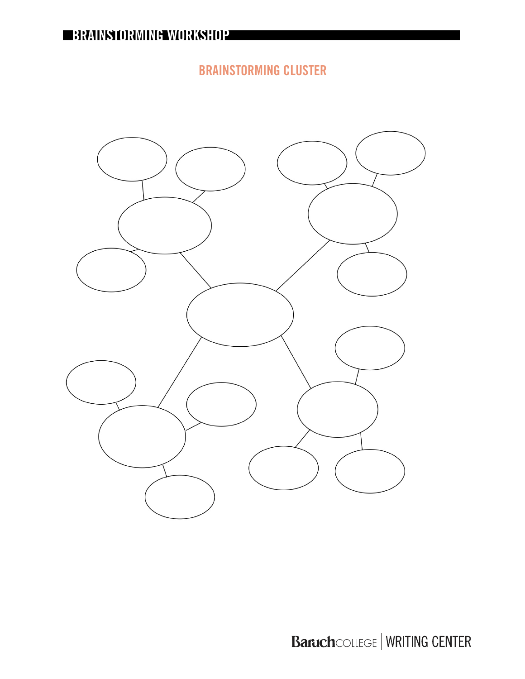**BRAINSTORMING CLUSTER**